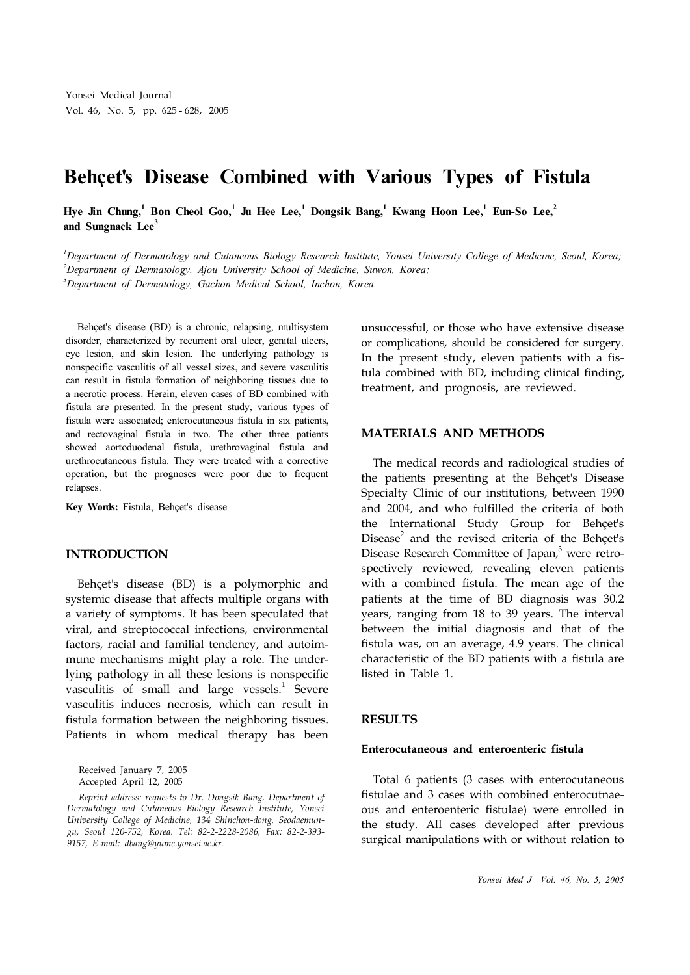# **Behçet's Disease Combined with Various Types of Fistula**

Hye Jin Chung,<sup>1</sup> Bon Cheol Goo,<sup>1</sup> Ju Hee Lee,<sup>1</sup> Dongsik Bang,<sup>1</sup> Kwang Hoon Lee,<sup>1</sup> Eun-So Lee,<sup>2</sup> **and Sungnack Lee 3**

<sup>1</sup>Department of Dermatology and Cutaneous Biology Research Institute, Yonsei University College of Medicine, Seoul, Korea; *<sup>2</sup>Department of Dermatology, Ajou University School of Medicine, Suwon, Korea; <sup>3</sup>Department of Dermatology, Gachon Medical School, Inchon, Korea.*

Behçet's disease (BD) is a chronic, relapsing, multisystem disorder, characterized by recurrent oral ulcer, genital ulcers, eye lesion, and skin lesion. The underlying pathology is nonspecific vasculitis of all vessel sizes, and severe vasculitis can result in fistula formation of neighboring tissues due to a necrotic process. Herein, eleven cases of BD combined with fistula are presented. In the present study, various types of fistula were associated; enterocutaneous fistula in six patients, and rectovaginal fistula in two. The other three patients showed aortoduodenal fistula, urethrovaginal fistula and urethrocutaneous fistula. They were treated with a corrective operation, but the prognoses were poor due to frequent relapses.

**Key Words:** Fistula, Behçet's disease

### **INTRODUCTION**

Behçet's disease (BD) is a polymorphic and systemic disease that affects multiple organs with a variety of symptoms. It has been speculated that viral, and streptococcal infections, environmental factors, racial and familial tendency, and autoimmune mechanisms might play a role. The underlying pathology in all these lesions is nonspecific vasculitis of small and large vessels.<sup>1</sup> Severe vasculitis induces necrosis, which can result in fistula formation between the neighboring tissues. Patients in whom medical therapy has been

unsuccessful, or those who have extensive disease or complications, should be considered for surgery. In the present study, eleven patients with a fistula combined with BD, including clinical finding, treatment, and prognosis, are reviewed.

## **MATERIALS AND METHODS**

The medical records and radiological studies of the patients presenting at the Behçet's Disease Specialty Clinic of our institutions, between 1990 and 2004, and who fulfilled the criteria of both the International Study Group for Behçet's Disease<sup>2</sup> and the revised criteria of the Behçet's Disease Research Committee of Japan,<sup>3</sup> were retrospectively reviewed, revealing eleven patients with a combined fistula. The mean age of the patients at the time of BD diagnosis was 30.2 years, ranging from 18 to 39 years. The interval between the initial diagnosis and that of the fistula was, on an average, 4.9 years. The clinical characteristic of the BD patients with a fistula are listed in Table 1.

#### **RESULTS**

#### **Enterocutaneous and enteroenteric fistula**

Total 6 patients (3 cases with enterocutaneous fistulae and 3 cases with combined enterocutnaeous and enteroenteric fistulae) were enrolled in the study. All cases developed after previous surgical manipulations with or without relation to

Received January 7, 2005 Accepted April 12, 2005

*Reprint address: requests to Dr. Dongsik Bang, Department of Dermatology and Cutaneous Biology Research Institute, Yonsei University College of Medicine, 134 Shinchon-dong, Seodaemungu, Seoul 120-752, Korea. Tel: 82-2-2228-2086, Fax: 82-2-393- 9157, E-mail: dbang@yumc.yonsei.ac.kr.*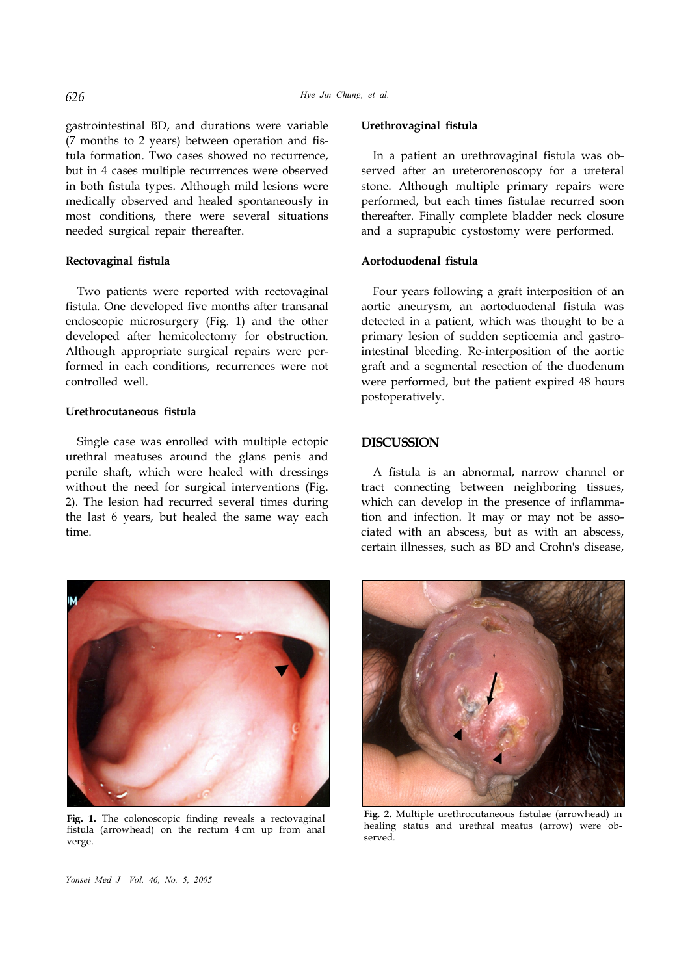gastrointestinal BD, and durations were variable (7 months to 2 years) between operation and fistula formation. Two cases showed no recurrence, but in 4 cases multiple recurrences were observed in both fistula types. Although mild lesions were medically observed and healed spontaneously in most conditions, there were several situations needed surgical repair thereafter.

## **Rectovaginal fistula**

Two patients were reported with rectovaginal fistula. One developed five months after transanal endoscopic microsurgery (Fig. 1) and the other developed after hemicolectomy for obstruction. Although appropriate surgical repairs were performed in each conditions, recurrences were not controlled well.

#### **Urethrocutaneous fistula**

Single case was enrolled with multiple ectopic urethral meatuses around the glans penis and penile shaft, which were healed with dressings without the need for surgical interventions (Fig. 2). The lesion had recurred several times during the last 6 years, but healed the same way each time.

# **Urethrovaginal fistula**

In a patient an urethrovaginal fistula was observed after an ureterorenoscopy for a ureteral stone. Although multiple primary repairs were performed, but each times fistulae recurred soon thereafter. Finally complete bladder neck closure and a suprapubic cystostomy were performed.

## **Aortoduodenal fistula**

Four years following a graft interposition of an aortic aneurysm, an aortoduodenal fistula was detected in a patient, which was thought to be a primary lesion of sudden septicemia and gastrointestinal bleeding. Re-interposition of the aortic graft and a segmental resection of the duodenum were performed, but the patient expired 48 hours postoperatively.

#### **DISCUSSION**

A fistula is an abnormal, narrow channel or tract connecting between neighboring tissues, which can develop in the presence of inflammation and infection. It may or may not be associated with an abscess, but as with an abscess, certain illnesses, such as BD and Crohn's disease,



**Fig. 1.** The colonoscopic finding reveals a rectovaginal fistula (arrowhead) on the rectum 4 cm up from anal verge.



**Fig. 2.** Multiple urethrocutaneous fistulae (arrowhead) in healing status and urethral meatus (arrow) were observed.

*Yonsei Med J Vol. 46, No. 5, 2005*

626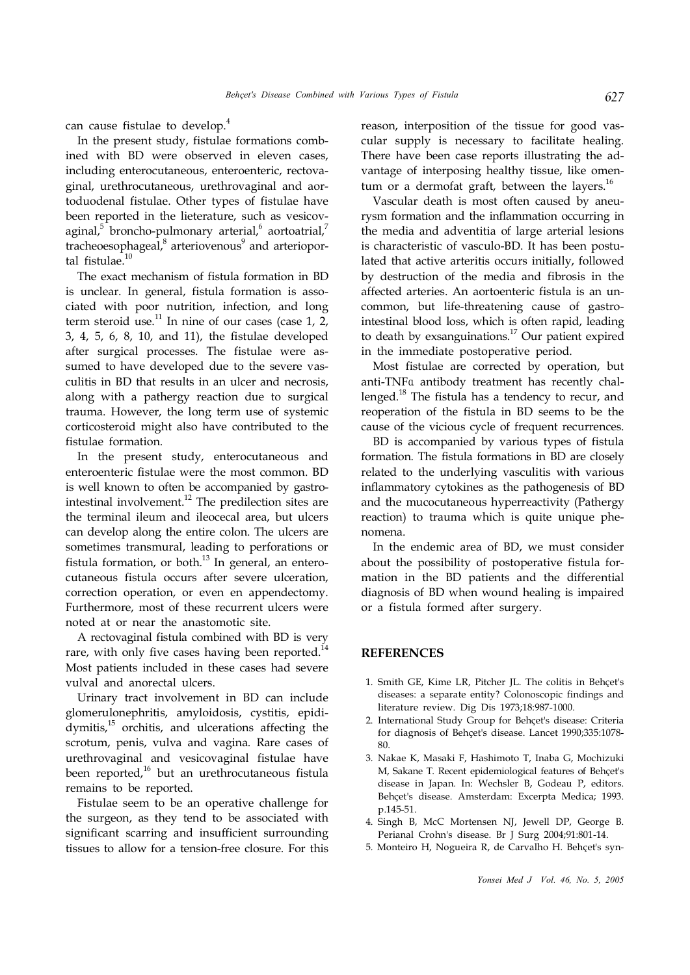can cause fistulae to develop. 4

In the present study, fistulae formations combined with BD were observed in eleven cases, including enterocutaneous, enteroenteric, rectovaginal, urethrocutaneous, urethrovaginal and aortoduodenal fistulae. Other types of fistulae have been reported in the lieterature, such as vesicovaginal,<sup>5</sup> broncho-pulmonary arterial,<sup>6</sup> aortoatrial,<sup>7</sup> tracheoesophageal, 8 arteriovenous 9 and arterioportal fistulae.<sup>10</sup>

The exact mechanism of fistula formation in BD is unclear. In general, fistula formation is associated with poor nutrition, infection, and long term steroid use.<sup>11</sup> In nine of our cases (case 1, 2, 3, 4, 5, 6, 8, 10, and 11), the fistulae developed after surgical processes. The fistulae were assumed to have developed due to the severe vasculitis in BD that results in an ulcer and necrosis, along with a pathergy reaction due to surgical trauma. However, the long term use of systemic corticosteroid might also have contributed to the fistulae formation.

In the present study, enterocutaneous and enteroenteric fistulae were the most common. BD is well known to often be accompanied by gastrointestinal involvement.<sup>12</sup> The predilection sites are the terminal ileum and ileocecal area, but ulcers can develop along the entire colon. The ulcers are sometimes transmural, leading to perforations or fistula formation, or both. $^{13}$  In general, an enterocutaneous fistula occurs after severe ulceration, correction operation, or even en appendectomy. Furthermore, most of these recurrent ulcers were noted at or near the anastomotic site.

A rectovaginal fistula combined with BD is very rare, with only five cases having been reported.<sup>14</sup> Most patients included in these cases had severe vulval and anorectal ulcers.

Urinary tract involvement in BD can include glomerulonephritis, amyloidosis, cystitis, epididymitis,<sup>15</sup> orchitis, and ulcerations affecting the scrotum, penis, vulva and vagina. Rare cases of urethrovaginal and vesicovaginal fistulae have been reported,<sup>16</sup> but an urethrocutaneous fistula remains to be reported.

Fistulae seem to be an operative challenge for the surgeon, as they tend to be associated with significant scarring and insufficient surrounding tissues to allow for a tension-free closure. For this

reason, interposition of the tissue for good vascular supply is necessary to facilitate healing. There have been case reports illustrating the advantage of interposing healthy tissue, like omentum or a dermofat graft, between the layers. $^{16}$ 

Vascular death is most often caused by aneurysm formation and the inflammation occurring in the media and adventitia of large arterial lesions is characteristic of vasculo-BD. It has been postulated that active arteritis occurs initially, followed by destruction of the media and fibrosis in the affected arteries. An aortoenteric fistula is an uncommon, but life-threatening cause of gastrointestinal blood loss, which is often rapid, leading to death by exsanguinations.<sup>17</sup> Our patient expired in the immediate postoperative period.

Most fistulae are corrected by operation, but anti-TNFα antibody treatment has recently challenged.<sup>18</sup> The fistula has a tendency to recur, and reoperation of the fistula in BD seems to be the cause of the vicious cycle of frequent recurrences.

BD is accompanied by various types of fistula formation. The fistula formations in BD are closely related to the underlying vasculitis with various inflammatory cytokines as the pathogenesis of BD and the mucocutaneous hyperreactivity (Pathergy reaction) to trauma which is quite unique phenomena.

In the endemic area of BD, we must consider about the possibility of postoperative fistula formation in the BD patients and the differential diagnosis of BD when wound healing is impaired or a fistula formed after surgery.

### **REFERENCES**

- 1. Smith GE, Kime LR, Pitcher JL. The colitis in Behçet's diseases: a separate entity? Colonoscopic findings and literature review. Dig Dis 1973;18:987-1000.
- 2. International Study Group for Behçet's disease: Criteria for diagnosis of Behçet's disease. Lancet 1990;335:1078- 80.
- 3. Nakae K, Masaki F, Hashimoto T, Inaba G, Mochizuki M, Sakane T. Recent epidemiological features of Behçet's disease in Japan. In: Wechsler B, Godeau P, editors. Behçet's disease. Amsterdam: Excerpta Medica; 1993. p.145-51.
- 4. Singh B, McC Mortensen NJ, Jewell DP, George B. Perianal Crohn's disease. Br J Surg 2004;91:801-14.
- 5. Monteiro H, Nogueira R, de Carvalho H. Behçet's syn-